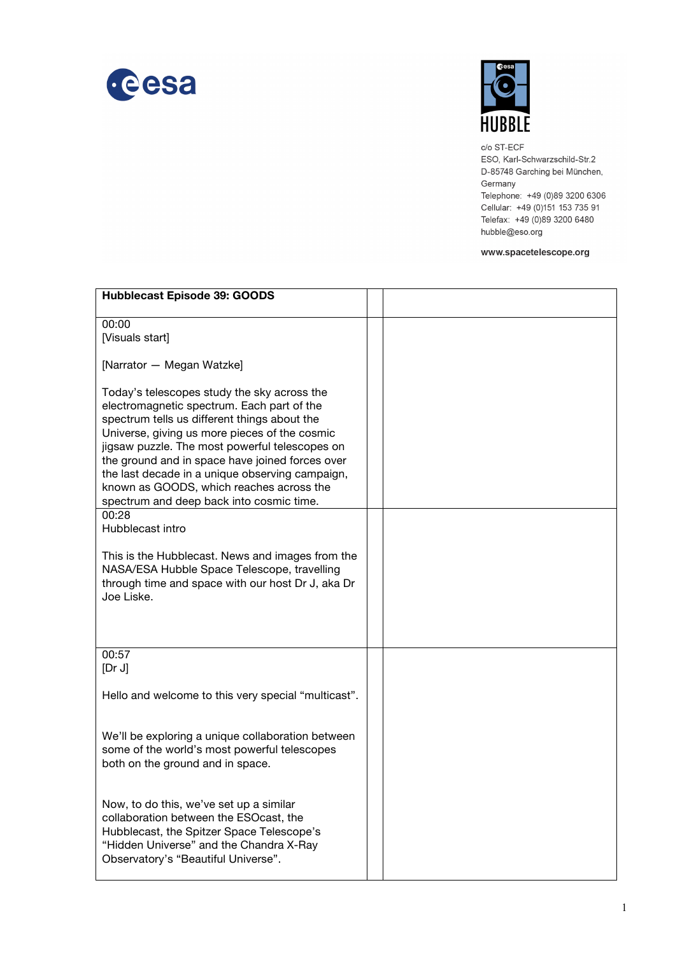



c/o ST-ECF ESO, Karl-Schwarzschild-Str.2 D-85748 Garching bei München, Germany Telephone: +49 (0)89 3200 6306 Cellular: +49 (0)151 153 735 91 Telefax: +49 (0)89 3200 6480 hubble@eso.org

www.spacetelescope.org

| Hubblecast Episode 39: GOODS                                                                                                                                                                                                                                                                                                                                                                                                               |  |
|--------------------------------------------------------------------------------------------------------------------------------------------------------------------------------------------------------------------------------------------------------------------------------------------------------------------------------------------------------------------------------------------------------------------------------------------|--|
| 00:00<br>[Visuals start]                                                                                                                                                                                                                                                                                                                                                                                                                   |  |
| [Narrator - Megan Watzke]                                                                                                                                                                                                                                                                                                                                                                                                                  |  |
| Today's telescopes study the sky across the<br>electromagnetic spectrum. Each part of the<br>spectrum tells us different things about the<br>Universe, giving us more pieces of the cosmic<br>jigsaw puzzle. The most powerful telescopes on<br>the ground and in space have joined forces over<br>the last decade in a unique observing campaign,<br>known as GOODS, which reaches across the<br>spectrum and deep back into cosmic time. |  |
| 00:28<br>Hubblecast intro                                                                                                                                                                                                                                                                                                                                                                                                                  |  |
| This is the Hubblecast. News and images from the<br>NASA/ESA Hubble Space Telescope, travelling<br>through time and space with our host Dr J, aka Dr<br>Joe Liske.                                                                                                                                                                                                                                                                         |  |
| 00:57<br>[Dr J]                                                                                                                                                                                                                                                                                                                                                                                                                            |  |
| Hello and welcome to this very special "multicast".                                                                                                                                                                                                                                                                                                                                                                                        |  |
| We'll be exploring a unique collaboration between<br>some of the world's most powerful telescopes<br>both on the ground and in space.                                                                                                                                                                                                                                                                                                      |  |
| Now, to do this, we've set up a similar<br>collaboration between the ESOcast, the<br>Hubblecast, the Spitzer Space Telescope's<br>"Hidden Universe" and the Chandra X-Ray<br>Observatory's "Beautiful Universe".                                                                                                                                                                                                                           |  |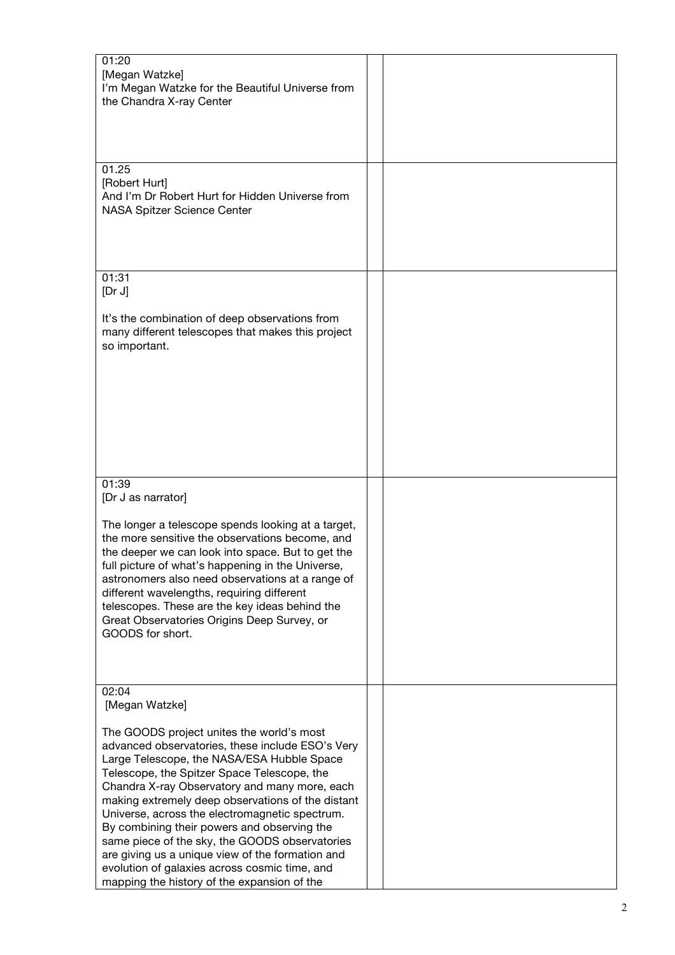| 01:20<br>[Megan Watzke]<br>I'm Megan Watzke for the Beautiful Universe from<br>the Chandra X-ray Center                                                                                                                                                                                                                                                                                                                                                                                                                                                                                                 |  |
|---------------------------------------------------------------------------------------------------------------------------------------------------------------------------------------------------------------------------------------------------------------------------------------------------------------------------------------------------------------------------------------------------------------------------------------------------------------------------------------------------------------------------------------------------------------------------------------------------------|--|
| 01.25<br>[Robert Hurt]<br>And I'm Dr Robert Hurt for Hidden Universe from<br>NASA Spitzer Science Center                                                                                                                                                                                                                                                                                                                                                                                                                                                                                                |  |
| 01:31<br>[Dr J]                                                                                                                                                                                                                                                                                                                                                                                                                                                                                                                                                                                         |  |
| It's the combination of deep observations from<br>many different telescopes that makes this project<br>so important.                                                                                                                                                                                                                                                                                                                                                                                                                                                                                    |  |
|                                                                                                                                                                                                                                                                                                                                                                                                                                                                                                                                                                                                         |  |
| 01:39<br>[Dr J as narrator]                                                                                                                                                                                                                                                                                                                                                                                                                                                                                                                                                                             |  |
| The longer a telescope spends looking at a target,<br>the more sensitive the observations become, and<br>the deeper we can look into space. But to get the<br>full picture of what's happening in the Universe,<br>astronomers also need observations at a range of<br>different wavelengths, requiring different<br>telescopes. These are the key ideas behind the<br>Great Observatories Origins Deep Survey, or<br>GOODS for short.                                                                                                                                                                  |  |
| 02:04<br>[Megan Watzke]                                                                                                                                                                                                                                                                                                                                                                                                                                                                                                                                                                                 |  |
| The GOODS project unites the world's most<br>advanced observatories, these include ESO's Very<br>Large Telescope, the NASA/ESA Hubble Space<br>Telescope, the Spitzer Space Telescope, the<br>Chandra X-ray Observatory and many more, each<br>making extremely deep observations of the distant<br>Universe, across the electromagnetic spectrum.<br>By combining their powers and observing the<br>same piece of the sky, the GOODS observatories<br>are giving us a unique view of the formation and<br>evolution of galaxies across cosmic time, and<br>mapping the history of the expansion of the |  |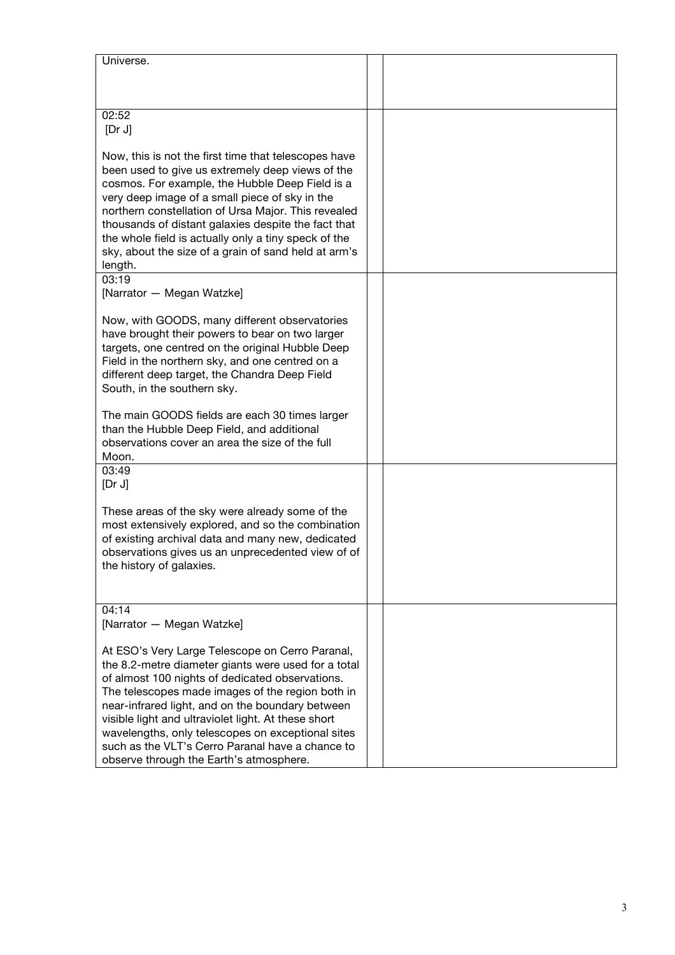| Universe.                                                                                             |  |
|-------------------------------------------------------------------------------------------------------|--|
|                                                                                                       |  |
|                                                                                                       |  |
| 02:52<br>[Dr J]                                                                                       |  |
|                                                                                                       |  |
| Now, this is not the first time that telescopes have                                                  |  |
| been used to give us extremely deep views of the                                                      |  |
| cosmos. For example, the Hubble Deep Field is a                                                       |  |
| very deep image of a small piece of sky in the<br>northern constellation of Ursa Major. This revealed |  |
| thousands of distant galaxies despite the fact that                                                   |  |
| the whole field is actually only a tiny speck of the                                                  |  |
| sky, about the size of a grain of sand held at arm's<br>length.                                       |  |
| 03:19                                                                                                 |  |
| [Narrator - Megan Watzke]                                                                             |  |
|                                                                                                       |  |
| Now, with GOODS, many different observatories<br>have brought their powers to bear on two larger      |  |
| targets, one centred on the original Hubble Deep                                                      |  |
| Field in the northern sky, and one centred on a                                                       |  |
| different deep target, the Chandra Deep Field                                                         |  |
| South, in the southern sky.                                                                           |  |
| The main GOODS fields are each 30 times larger                                                        |  |
| than the Hubble Deep Field, and additional                                                            |  |
| observations cover an area the size of the full<br>Moon.                                              |  |
| 03:49                                                                                                 |  |
| [Dr J]                                                                                                |  |
| These areas of the sky were already some of the                                                       |  |
| most extensively explored, and so the combination                                                     |  |
| of existing archival data and many new, dedicated                                                     |  |
| observations gives us an unprecedented view of of<br>the history of galaxies.                         |  |
|                                                                                                       |  |
|                                                                                                       |  |
| 04:14                                                                                                 |  |
| [Narrator - Megan Watzke]                                                                             |  |
| At ESO's Very Large Telescope on Cerro Paranal,                                                       |  |
| the 8.2-metre diameter giants were used for a total                                                   |  |
| of almost 100 nights of dedicated observations.                                                       |  |
| The telescopes made images of the region both in<br>near-infrared light, and on the boundary between  |  |
| visible light and ultraviolet light. At these short                                                   |  |
| wavelengths, only telescopes on exceptional sites                                                     |  |
| such as the VLT's Cerro Paranal have a chance to                                                      |  |
| observe through the Earth's atmosphere.                                                               |  |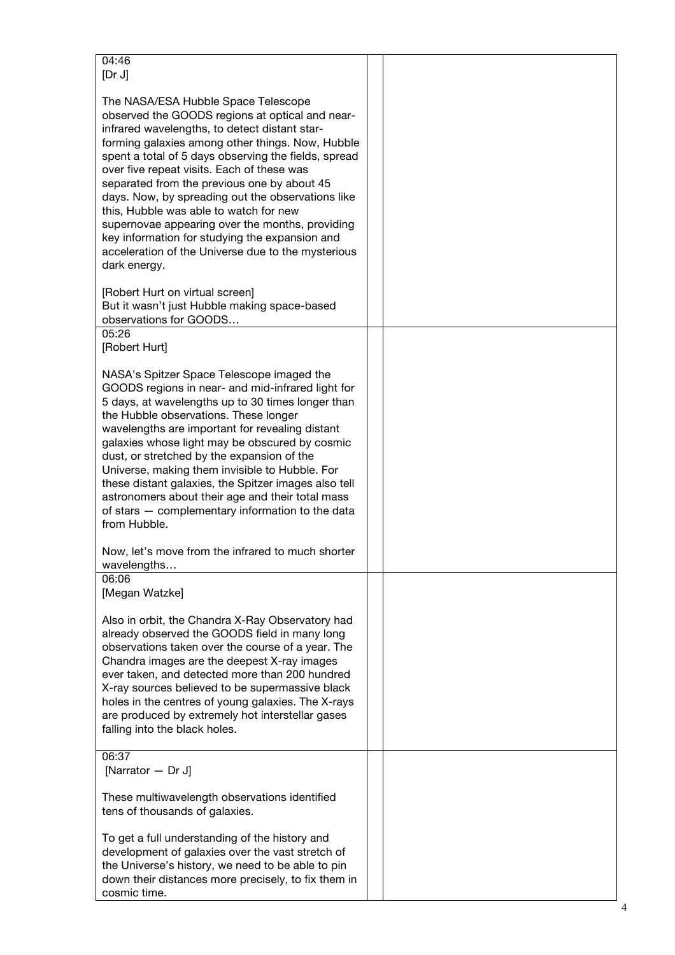| 04:46<br>[Dr J]                                                                                                                                                                                                                                                                                                                                                                                                                                                                                                                                                                                                            |  |
|----------------------------------------------------------------------------------------------------------------------------------------------------------------------------------------------------------------------------------------------------------------------------------------------------------------------------------------------------------------------------------------------------------------------------------------------------------------------------------------------------------------------------------------------------------------------------------------------------------------------------|--|
| The NASA/ESA Hubble Space Telescope<br>observed the GOODS regions at optical and near-<br>infrared wavelengths, to detect distant star-<br>forming galaxies among other things. Now, Hubble<br>spent a total of 5 days observing the fields, spread<br>over five repeat visits. Each of these was<br>separated from the previous one by about 45<br>days. Now, by spreading out the observations like<br>this, Hubble was able to watch for new<br>supernovae appearing over the months, providing<br>key information for studying the expansion and<br>acceleration of the Universe due to the mysterious<br>dark energy. |  |
| [Robert Hurt on virtual screen]<br>But it wasn't just Hubble making space-based<br>observations for GOODS                                                                                                                                                                                                                                                                                                                                                                                                                                                                                                                  |  |
| 05:26<br>[Robert Hurt]                                                                                                                                                                                                                                                                                                                                                                                                                                                                                                                                                                                                     |  |
| NASA's Spitzer Space Telescope imaged the<br>GOODS regions in near- and mid-infrared light for<br>5 days, at wavelengths up to 30 times longer than<br>the Hubble observations. These longer<br>wavelengths are important for revealing distant<br>galaxies whose light may be obscured by cosmic<br>dust, or stretched by the expansion of the<br>Universe, making them invisible to Hubble. For<br>these distant galaxies, the Spitzer images also tell<br>astronomers about their age and their total mass<br>of stars - complementary information to the data<br>from Hubble.                                          |  |
| Now, let's move from the infrared to much shorter<br>wavelengths                                                                                                                                                                                                                                                                                                                                                                                                                                                                                                                                                           |  |
| 06:06<br>[Megan Watzke]                                                                                                                                                                                                                                                                                                                                                                                                                                                                                                                                                                                                    |  |
| Also in orbit, the Chandra X-Ray Observatory had<br>already observed the GOODS field in many long<br>observations taken over the course of a year. The<br>Chandra images are the deepest X-ray images<br>ever taken, and detected more than 200 hundred<br>X-ray sources believed to be supermassive black<br>holes in the centres of young galaxies. The X-rays<br>are produced by extremely hot interstellar gases<br>falling into the black holes.                                                                                                                                                                      |  |
| 06:37<br>[Narrator - Dr J]                                                                                                                                                                                                                                                                                                                                                                                                                                                                                                                                                                                                 |  |
| These multiwavelength observations identified<br>tens of thousands of galaxies.                                                                                                                                                                                                                                                                                                                                                                                                                                                                                                                                            |  |
| To get a full understanding of the history and<br>development of galaxies over the vast stretch of<br>the Universe's history, we need to be able to pin<br>down their distances more precisely, to fix them in<br>cosmic time.                                                                                                                                                                                                                                                                                                                                                                                             |  |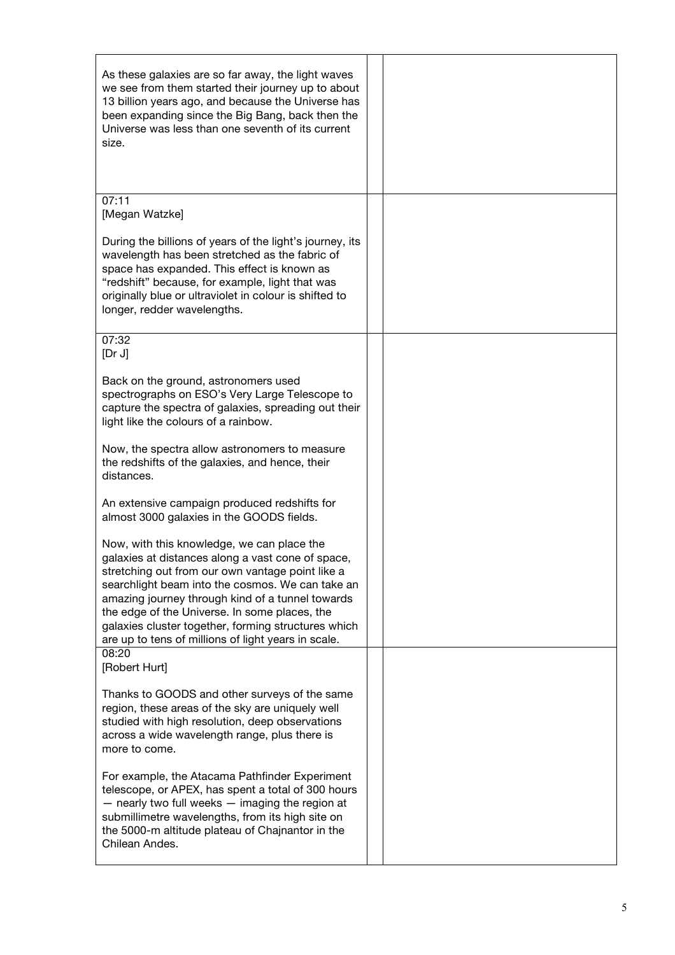| As these galaxies are so far away, the light waves<br>we see from them started their journey up to about<br>13 billion years ago, and because the Universe has<br>been expanding since the Big Bang, back then the<br>Universe was less than one seventh of its current<br>size.                                                                                                                                           |  |
|----------------------------------------------------------------------------------------------------------------------------------------------------------------------------------------------------------------------------------------------------------------------------------------------------------------------------------------------------------------------------------------------------------------------------|--|
| 07:11<br>[Megan Watzke]                                                                                                                                                                                                                                                                                                                                                                                                    |  |
| During the billions of years of the light's journey, its<br>wavelength has been stretched as the fabric of<br>space has expanded. This effect is known as<br>"redshift" because, for example, light that was<br>originally blue or ultraviolet in colour is shifted to<br>longer, redder wavelengths.                                                                                                                      |  |
| 07:32<br>[Dr J]                                                                                                                                                                                                                                                                                                                                                                                                            |  |
| Back on the ground, astronomers used<br>spectrographs on ESO's Very Large Telescope to<br>capture the spectra of galaxies, spreading out their<br>light like the colours of a rainbow.                                                                                                                                                                                                                                     |  |
| Now, the spectra allow astronomers to measure<br>the redshifts of the galaxies, and hence, their<br>distances.                                                                                                                                                                                                                                                                                                             |  |
| An extensive campaign produced redshifts for<br>almost 3000 galaxies in the GOODS fields.                                                                                                                                                                                                                                                                                                                                  |  |
| Now, with this knowledge, we can place the<br>galaxies at distances along a vast cone of space,<br>stretching out from our own vantage point like a<br>searchlight beam into the cosmos. We can take an<br>amazing journey through kind of a tunnel towards<br>the edge of the Universe. In some places, the<br>galaxies cluster together, forming structures which<br>are up to tens of millions of light years in scale. |  |
| 08:20<br>[Robert Hurt]                                                                                                                                                                                                                                                                                                                                                                                                     |  |
| Thanks to GOODS and other surveys of the same<br>region, these areas of the sky are uniquely well<br>studied with high resolution, deep observations<br>across a wide wavelength range, plus there is<br>more to come.                                                                                                                                                                                                     |  |
| For example, the Atacama Pathfinder Experiment<br>telescope, or APEX, has spent a total of 300 hours<br>$-$ nearly two full weeks $-$ imaging the region at<br>submillimetre wavelengths, from its high site on<br>the 5000-m altitude plateau of Chajnantor in the<br>Chilean Andes.                                                                                                                                      |  |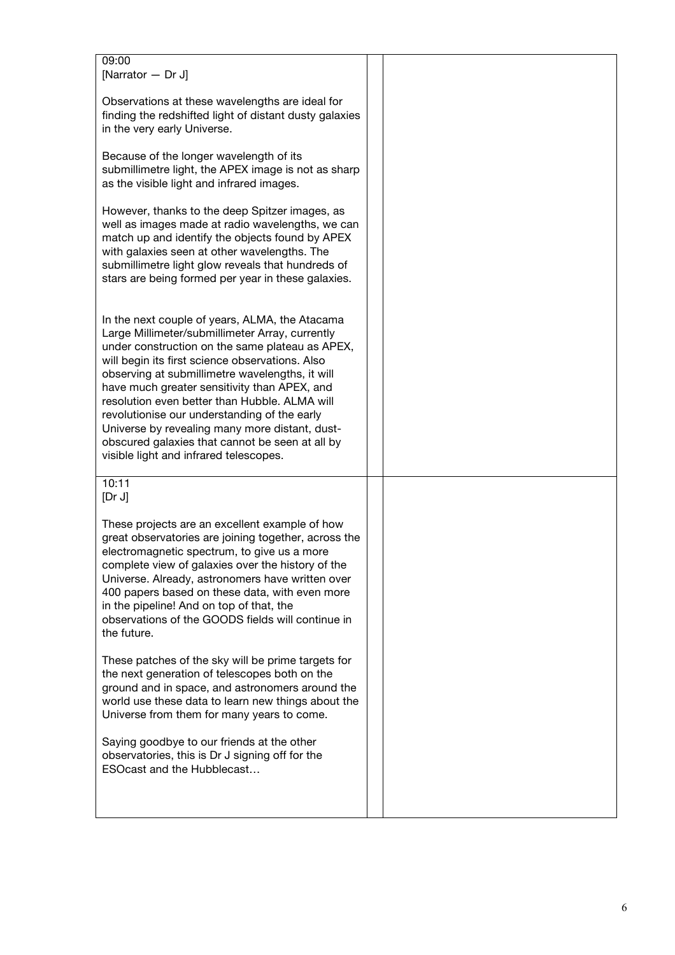| 09:00<br>[Narrator - Dr J]                                                                                                                                                                                                                                                                                                                                                                                                                                                                                                                                 |  |
|------------------------------------------------------------------------------------------------------------------------------------------------------------------------------------------------------------------------------------------------------------------------------------------------------------------------------------------------------------------------------------------------------------------------------------------------------------------------------------------------------------------------------------------------------------|--|
| Observations at these wavelengths are ideal for<br>finding the redshifted light of distant dusty galaxies<br>in the very early Universe.                                                                                                                                                                                                                                                                                                                                                                                                                   |  |
| Because of the longer wavelength of its<br>submillimetre light, the APEX image is not as sharp<br>as the visible light and infrared images.                                                                                                                                                                                                                                                                                                                                                                                                                |  |
| However, thanks to the deep Spitzer images, as<br>well as images made at radio wavelengths, we can<br>match up and identify the objects found by APEX<br>with galaxies seen at other wavelengths. The<br>submillimetre light glow reveals that hundreds of<br>stars are being formed per year in these galaxies.                                                                                                                                                                                                                                           |  |
| In the next couple of years, ALMA, the Atacama<br>Large Millimeter/submillimeter Array, currently<br>under construction on the same plateau as APEX,<br>will begin its first science observations. Also<br>observing at submillimetre wavelengths, it will<br>have much greater sensitivity than APEX, and<br>resolution even better than Hubble. ALMA will<br>revolutionise our understanding of the early<br>Universe by revealing many more distant, dust-<br>obscured galaxies that cannot be seen at all by<br>visible light and infrared telescopes. |  |
| 10:11<br>[Dr J]                                                                                                                                                                                                                                                                                                                                                                                                                                                                                                                                            |  |
| These projects are an excellent example of how<br>great observatories are joining together, across the<br>electromagnetic spectrum, to give us a more<br>complete view of galaxies over the history of the<br>Universe. Already, astronomers have written over<br>400 papers based on these data, with even more<br>in the pipeline! And on top of that, the<br>observations of the GOODS fields will continue in<br>the future.                                                                                                                           |  |
| These patches of the sky will be prime targets for<br>the next generation of telescopes both on the<br>ground and in space, and astronomers around the<br>world use these data to learn new things about the<br>Universe from them for many years to come.                                                                                                                                                                                                                                                                                                 |  |
| Saying goodbye to our friends at the other<br>observatories, this is Dr J signing off for the<br>ESOcast and the Hubblecast                                                                                                                                                                                                                                                                                                                                                                                                                                |  |
|                                                                                                                                                                                                                                                                                                                                                                                                                                                                                                                                                            |  |